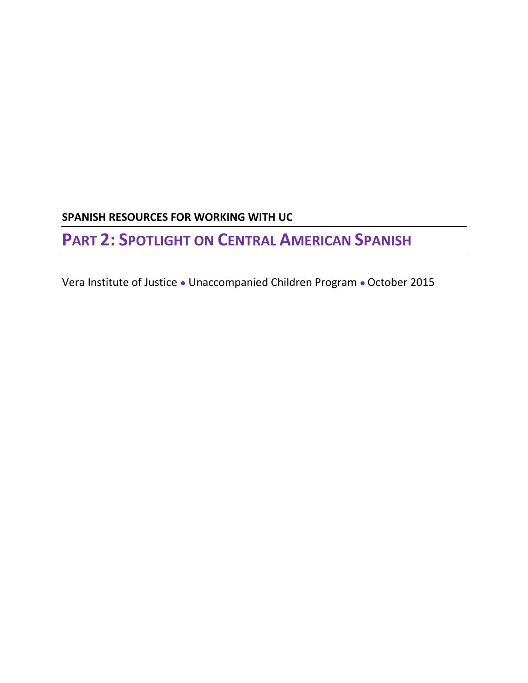## **SPANISH RESOURCES FOR WORKING WITH UC**

# **PART 2: SPOTLIGHT ON CENTRAL AMERICAN SPANISH**

Vera Institute of Justice ● Unaccompanied Children Program ● October 2015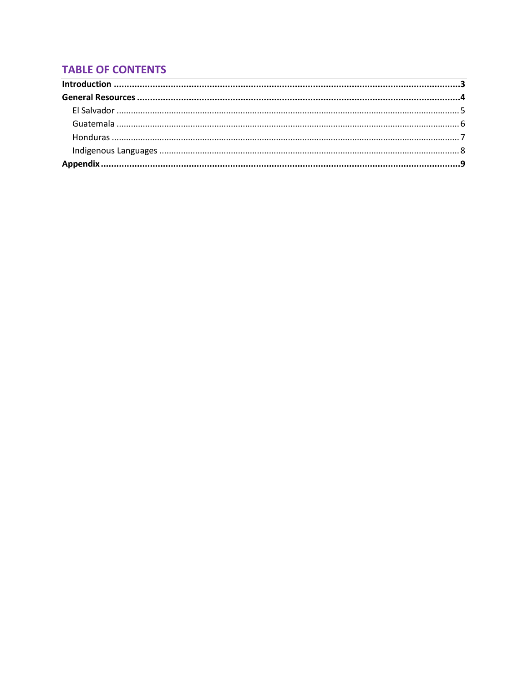## **TABLE OF CONTENTS**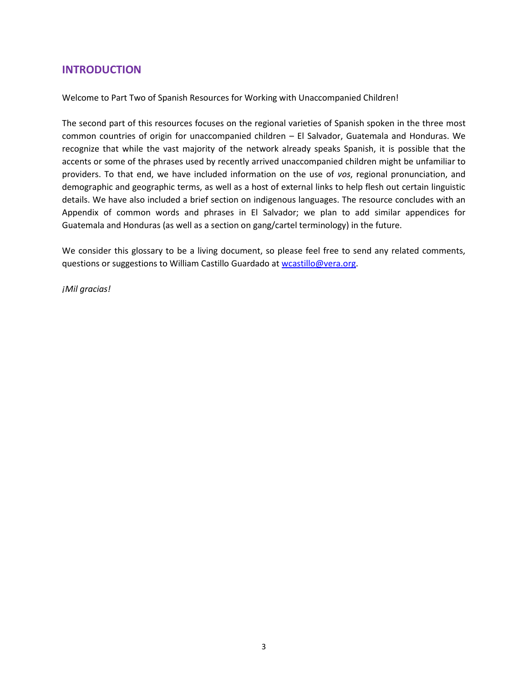#### <span id="page-2-0"></span>**INTRODUCTION**

Welcome to Part Two of Spanish Resources for Working with Unaccompanied Children!

The second part of this resources focuses on the regional varieties of Spanish spoken in the three most common countries of origin for unaccompanied children – El Salvador, Guatemala and Honduras. We recognize that while the vast majority of the network already speaks Spanish, it is possible that the accents or some of the phrases used by recently arrived unaccompanied children might be unfamiliar to providers. To that end, we have included information on the use of *vos*, regional pronunciation, and demographic and geographic terms, as well as a host of external links to help flesh out certain linguistic details. We have also included a brief section on indigenous languages. The resource concludes with an Appendix of common words and phrases in El Salvador; we plan to add similar appendices for Guatemala and Honduras (as well as a section on gang/cartel terminology) in the future.

We consider this glossary to be a living document, so please feel free to send any related comments, questions or suggestions to William Castillo Guardado a[t wcastillo@vera.org.](mailto:dbloch@vera.org)

*¡Mil gracias!*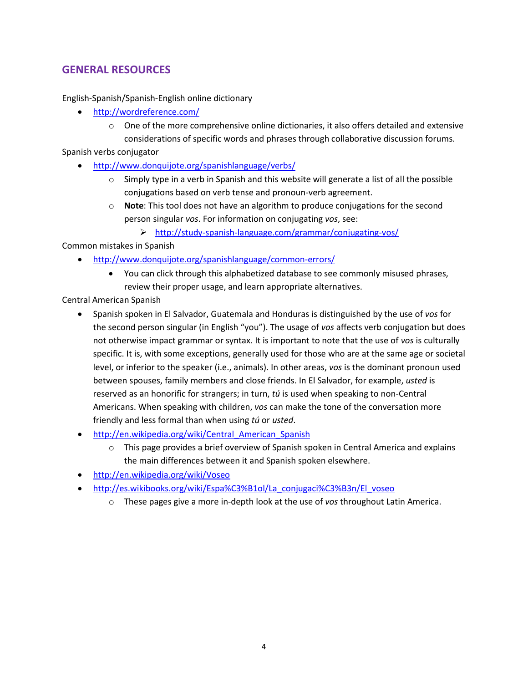### <span id="page-3-0"></span>**GENERAL RESOURCES**

English-Spanish/Spanish-English online dictionary

- <http://wordreference.com/>
	- $\circ$  One of the more comprehensive online dictionaries, it also offers detailed and extensive considerations of specific words and phrases through collaborative discussion forums.

Spanish verbs conjugator

- <http://www.donquijote.org/spanishlanguage/verbs/>
	- $\circ$  Simply type in a verb in Spanish and this website will generate a list of all the possible conjugations based on verb tense and pronoun-verb agreement.
	- o **Note**: This tool does not have an algorithm to produce conjugations for the second person singular *vos*. For information on conjugating *vos*, see:
		- <http://study-spanish-language.com/grammar/conjugating-vos/>

Common mistakes in Spanish

- <http://www.donquijote.org/spanishlanguage/common-errors/>
	- You can click through this alphabetized database to see commonly misused phrases, review their proper usage, and learn appropriate alternatives.

Central American Spanish

- Spanish spoken in El Salvador, Guatemala and Honduras is distinguished by the use of *vos* for the second person singular (in English "you"). The usage of *vos* affects verb conjugation but does not otherwise impact grammar or syntax. It is important to note that the use of *vos* is culturally specific. It is, with some exceptions, generally used for those who are at the same age or societal level, or inferior to the speaker (i.e., animals). In other areas, *vos* is the dominant pronoun used between spouses, family members and close friends. In El Salvador, for example, *usted* is reserved as an honorific for strangers; in turn, *tú* is used when speaking to non-Central Americans. When speaking with children, *vos* can make the tone of the conversation more friendly and less formal than when using *tú* or *usted*.
- http://en.wikipedia.org/wiki/Central American Spanish
	- $\circ$  This page provides a brief overview of Spanish spoken in Central America and explains the main differences between it and Spanish spoken elsewhere.
- <http://en.wikipedia.org/wiki/Voseo>
- [http://es.wikibooks.org/wiki/Espa%C3%B1ol/La\\_conjugaci%C3%B3n/El\\_voseo](http://es.wikibooks.org/wiki/Espa%C3%B1ol/La_conjugaci%C3%B3n/El_voseo)
	- o These pages give a more in-depth look at the use of *vos* throughout Latin America.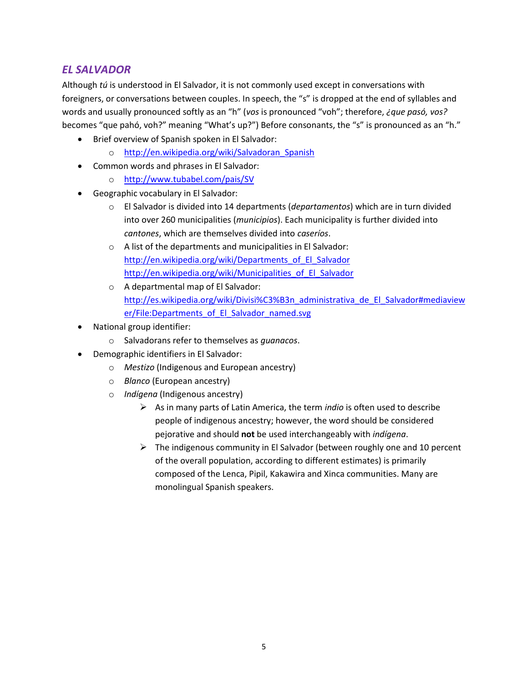#### <span id="page-4-0"></span>*EL SALVADOR*

Although *tú* is understood in El Salvador, it is not commonly used except in conversations with foreigners, or conversations between couples. In speech, the "s" is dropped at the end of syllables and words and usually pronounced softly as an "h" (*vos* is pronounced "voh"; therefore, *¿que pasó, vos?* becomes "que pahó, voh?" meaning "What's up?") Before consonants, the "s" is pronounced as an "h."

- Brief overview of Spanish spoken in El Salvador:
	- o [http://en.wikipedia.org/wiki/Salvadoran\\_Spanish](http://en.wikipedia.org/wiki/Salvadoran_Spanish)
- Common words and phrases in El Salvador:
	- o <http://www.tubabel.com/pais/SV>
- Geographic vocabulary in El Salvador:
	- o El Salvador is divided into 14 departments (*departamentos*) which are in turn divided into over 260 municipalities (*municipios*). Each municipality is further divided into *cantones*, which are themselves divided into *caseríos*.
	- o A list of the departments and municipalities in El Salvador: [http://en.wikipedia.org/wiki/Departments\\_of\\_El\\_Salvador](http://en.wikipedia.org/wiki/Departments_of_El_Salvador) [http://en.wikipedia.org/wiki/Municipalities\\_of\\_El\\_Salvador](http://en.wikipedia.org/wiki/Municipalities_of_El_Salvador)
	- o A departmental map of El Salvador: [http://es.wikipedia.org/wiki/Divisi%C3%B3n\\_administrativa\\_de\\_El\\_Salvador#mediaview](http://es.wikipedia.org/wiki/Divisi%C3%B3n_administrativa_de_El_Salvador#mediaviewer/File:Departments_of_El_Salvador_named.svg) [er/File:Departments\\_of\\_El\\_Salvador\\_named.svg](http://es.wikipedia.org/wiki/Divisi%C3%B3n_administrativa_de_El_Salvador#mediaviewer/File:Departments_of_El_Salvador_named.svg)
- National group identifier:
	- o Salvadorans refer to themselves as *guanacos*.
- Demographic identifiers in El Salvador:
	- o *Mestizo* (Indigenous and European ancestry)
		- o *Blanco* (European ancestry)
		- o *Indígena* (Indigenous ancestry)
			- As in many parts of Latin America, the term *indio* is often used to describe people of indigenous ancestry; however, the word should be considered pejorative and should **not** be used interchangeably with *indígena*.
			- $\triangleright$  The indigenous community in El Salvador (between roughly one and 10 percent of the overall population, according to different estimates) is primarily composed of the Lenca, Pipil, Kakawira and Xinca communities. Many are monolingual Spanish speakers.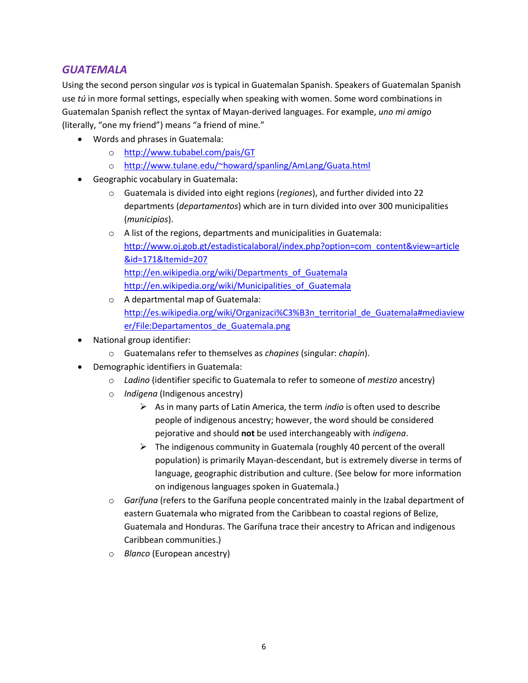#### <span id="page-5-0"></span>*GUATEMALA*

Using the second person singular *vos* is typical in Guatemalan Spanish. Speakers of Guatemalan Spanish use *tú* in more formal settings, especially when speaking with women. Some word combinations in Guatemalan Spanish reflect the syntax of Mayan-derived languages. For example, *uno mi amigo* (literally, "one my friend") means "a friend of mine."

- Words and phrases in Guatemala:
	- o <http://www.tubabel.com/pais/GT>
	- o <http://www.tulane.edu/~howard/spanling/AmLang/Guata.html>
- Geographic vocabulary in Guatemala:
	- o Guatemala is divided into eight regions (*regiones*), and further divided into 22 departments (*departamentos*) which are in turn divided into over 300 municipalities (*municipios*).
	- o A list of the regions, departments and municipalities in Guatemala: [http://www.oj.gob.gt/estadisticalaboral/index.php?option=com\\_content&view=article](http://www.oj.gob.gt/estadisticalaboral/index.php?option=com_content&view=article&id=171&Itemid=207) [&id=171&Itemid=207](http://www.oj.gob.gt/estadisticalaboral/index.php?option=com_content&view=article&id=171&Itemid=207) [http://en.wikipedia.org/wiki/Departments\\_of\\_Guatemala](http://en.wikipedia.org/wiki/Departments_of_Guatemala) [http://en.wikipedia.org/wiki/Municipalities\\_of\\_Guatemala](http://en.wikipedia.org/wiki/Municipalities_of_Guatemala)
	- o A departmental map of Guatemala: [http://es.wikipedia.org/wiki/Organizaci%C3%B3n\\_territorial\\_de\\_Guatemala#mediaview](http://es.wikipedia.org/wiki/Organizaci%C3%B3n_territorial_de_Guatemala#mediaviewer/File:Departamentos_de_Guatemala.png) [er/File:Departamentos\\_de\\_Guatemala.png](http://es.wikipedia.org/wiki/Organizaci%C3%B3n_territorial_de_Guatemala#mediaviewer/File:Departamentos_de_Guatemala.png)
- National group identifier:
	- o Guatemalans refer to themselves as *chapines* (singular: *chapín*).
- Demographic identifiers in Guatemala:
	- o *Ladino* (identifier specific to Guatemala to refer to someone of *mestizo* ancestry)
	- o *Indígena* (Indigenous ancestry)
		- As in many parts of Latin America, the term *indio* is often used to describe people of indigenous ancestry; however, the word should be considered pejorative and should **not** be used interchangeably with *indígena*.
		- $\triangleright$  The indigenous community in Guatemala (roughly 40 percent of the overall population) is primarily Mayan-descendant, but is extremely diverse in terms of language, geographic distribution and culture. (See below for more information on indigenous languages spoken in Guatemala.)
	- o *Garífuna* (refers to the Garífuna people concentrated mainly in the Izabal department of eastern Guatemala who migrated from the Caribbean to coastal regions of Belize, Guatemala and Honduras. The Garífuna trace their ancestry to African and indigenous Caribbean communities.)
	- o *Blanco* (European ancestry)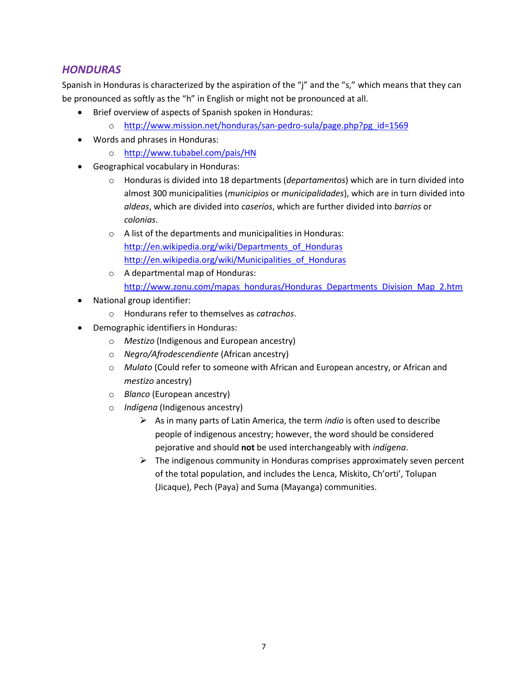#### <span id="page-6-0"></span>*HONDURAS*

Spanish in Honduras is characterized by the aspiration of the "j" and the "s," which means that they can be pronounced as softly as the "h" in English or might not be pronounced at all.

- Brief overview of aspects of Spanish spoken in Honduras:
	- o [http://www.mission.net/honduras/san-pedro-sula/page.php?pg\\_id=1569](http://www.mission.net/honduras/san-pedro-sula/page.php?pg_id=1569)
- Words and phrases in Honduras:
	- o <http://www.tubabel.com/pais/HN>
- Geographical vocabulary in Honduras:
	- o Honduras is divided into 18 departments (*departamentos*) which are in turn divided into almost 300 municipalities (*municipios* or *municipalidades*), which are in turn divided into *aldeas*, which are divided into *caseríos*, which are further divided into *barrios* or *colonias*.
	- o A list of the departments and municipalities in Honduras: [http://en.wikipedia.org/wiki/Departments\\_of\\_Honduras](http://en.wikipedia.org/wiki/Departments_of_Honduras) [http://en.wikipedia.org/wiki/Municipalities\\_of\\_Honduras](http://en.wikipedia.org/wiki/Municipalities_of_Honduras)
	- o A departmental map of Honduras: [http://www.zonu.com/mapas\\_honduras/Honduras\\_Departments\\_Division\\_Map\\_2.htm](http://www.zonu.com/mapas_honduras/Honduras_Departments_Division_Map_2.htm)
- National group identifier:
	- o Hondurans refer to themselves as *catrachos*.
- Demographic identifiers in Honduras:
	- o *Mestizo* (Indigenous and European ancestry)
	- o *Negro/Afrodescendiente* (African ancestry)
	- o *Mulato* (Could refer to someone with African and European ancestry, or African and *mestizo* ancestry)
	- o *Blanco* (European ancestry)
	- o *Indígena* (Indigenous ancestry)
		- As in many parts of Latin America, the term *indio* is often used to describe people of indigenous ancestry; however, the word should be considered pejorative and should **not** be used interchangeably with *indígena*.
		- $\triangleright$  The indigenous community in Honduras comprises approximately seven percent of the total population, and includes the Lenca, Miskito, Ch'orti', Tolupan (Jicaque), Pech (Paya) and Suma (Mayanga) communities.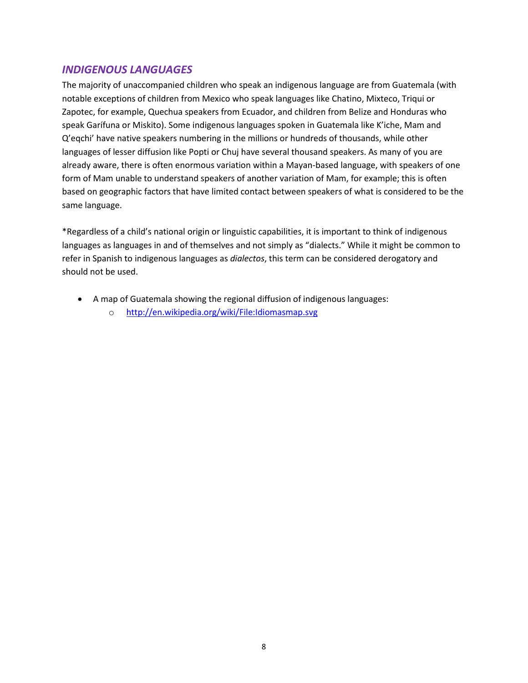#### <span id="page-7-0"></span>*INDIGENOUS LANGUAGES*

The majority of unaccompanied children who speak an indigenous language are from Guatemala (with notable exceptions of children from Mexico who speak languages like Chatino, Mixteco, Triqui or Zapotec, for example, Quechua speakers from Ecuador, and children from Belize and Honduras who speak Garífuna or Miskito). Some indigenous languages spoken in Guatemala like K'iche, Mam and Q'eqchi' have native speakers numbering in the millions or hundreds of thousands, while other languages of lesser diffusion like Popti or Chuj have several thousand speakers. As many of you are already aware, there is often enormous variation within a Mayan-based language, with speakers of one form of Mam unable to understand speakers of another variation of Mam, for example; this is often based on geographic factors that have limited contact between speakers of what is considered to be the same language.

\*Regardless of a child's national origin or linguistic capabilities, it is important to think of indigenous languages as languages in and of themselves and not simply as "dialects." While it might be common to refer in Spanish to indigenous languages as *dialectos*, this term can be considered derogatory and should not be used.

- A map of Guatemala showing the regional diffusion of indigenous languages:
	- o <http://en.wikipedia.org/wiki/File:Idiomasmap.svg>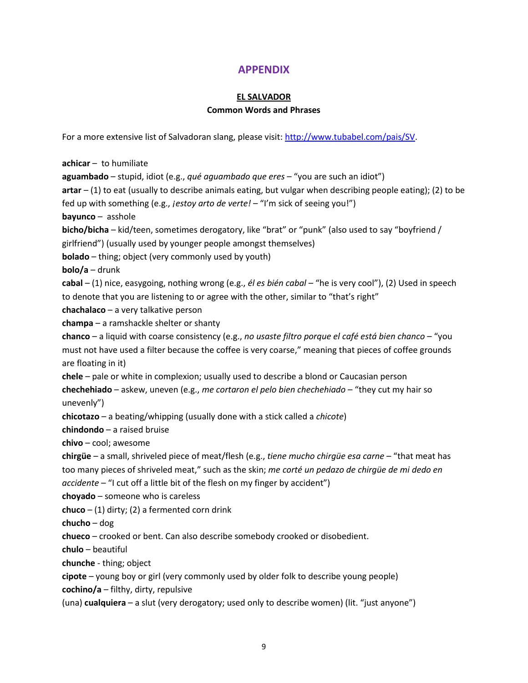#### **APPENDIX**

#### **EL SALVADOR**

#### **Common Words and Phrases**

<span id="page-8-0"></span>For a more extensive list of Salvadoran slang, please visit: [http://www.tubabel.com/pais/SV.](http://www.tubabel.com/pais/SV)

**achicar** – to humiliate **aguambado** – stupid, idiot (e.g., *qué aguambado que eres* – "you are such an idiot") **artar** – (1) to eat (usually to describe animals eating, but vulgar when describing people eating); (2) to be fed up with something (e.g., *¡estoy arto de verte!* – "I'm sick of seeing you!") **bayunco** – asshole **bicho/bicha** – kid/teen, sometimes derogatory, like "brat" or "punk" (also used to say "boyfriend / girlfriend") (usually used by younger people amongst themselves) **bolado** – thing; object (very commonly used by youth) **bolo/a** – drunk **cabal** – (1) nice, easygoing, nothing wrong (e.g., *él es bién cabal* – "he is very cool"), (2) Used in speech to denote that you are listening to or agree with the other, similar to "that's right" **chachalaco** – a very talkative person **champa** – a ramshackle shelter or shanty **chanco** – a liquid with coarse consistency (e.g., *no usaste filtro porque el café está bien chanco* – "you must not have used a filter because the coffee is very coarse," meaning that pieces of coffee grounds are floating in it) **chele** – pale or white in complexion; usually used to describe a blond or Caucasian person **chechehiado** – askew, uneven (e.g., *me cortaron el pelo bien chechehiado* – "they cut my hair so unevenly") **chicotazo** – a beating/whipping (usually done with a stick called a *chicote*) **chindondo** – a raised bruise **chivo** – cool; awesome **chirgüe** – a small, shriveled piece of meat/flesh (e.g., *tiene mucho chirgüe esa carne* – "that meat has too many pieces of shriveled meat," such as the skin; *me corté un pedazo de chirgüe de mi dedo en accidente* – "I cut off a little bit of the flesh on my finger by accident") **choyado** – someone who is careless **chuco** – (1) dirty; (2) a fermented corn drink **chucho** – dog **chueco** – crooked or bent. Can also describe somebody crooked or disobedient. **chulo** – beautiful **chunche** - thing; object **cipote** – young boy or girl (very commonly used by older folk to describe young people) **cochino/a** – filthy, dirty, repulsive

(una) **cualquiera** – a slut (very derogatory; used only to describe women) (lit. "just anyone")